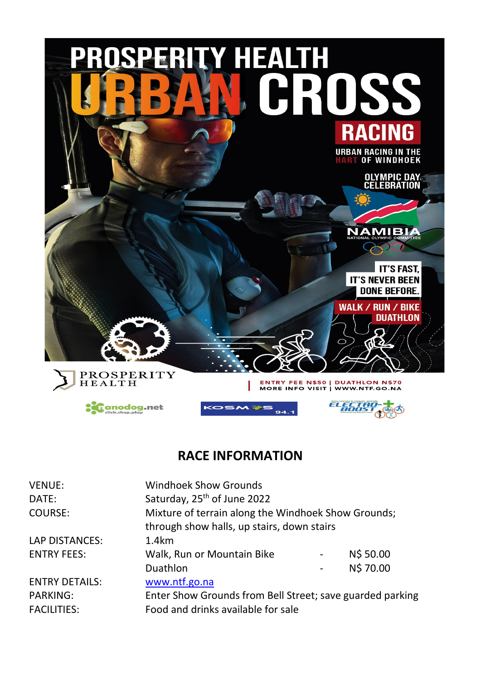

## **RACE INFORMATION**

| <b>VENUE:</b>         | <b>Windhoek Show Grounds</b>                                                                      |                          |           |  |  |
|-----------------------|---------------------------------------------------------------------------------------------------|--------------------------|-----------|--|--|
| DATE:                 | Saturday, 25 <sup>th</sup> of June 2022                                                           |                          |           |  |  |
| <b>COURSE:</b>        | Mixture of terrain along the Windhoek Show Grounds;<br>through show halls, up stairs, down stairs |                          |           |  |  |
| LAP DISTANCES:        | 1.4km                                                                                             |                          |           |  |  |
| <b>ENTRY FEES:</b>    | Walk, Run or Mountain Bike                                                                        |                          | N\$ 50.00 |  |  |
|                       | Duathlon                                                                                          | $\overline{\phantom{a}}$ | N\$ 70.00 |  |  |
| <b>ENTRY DETAILS:</b> | www.ntf.go.na                                                                                     |                          |           |  |  |
| <b>PARKING:</b>       | Enter Show Grounds from Bell Street; save guarded parking                                         |                          |           |  |  |
| <b>FACILITIES:</b>    | Food and drinks available for sale                                                                |                          |           |  |  |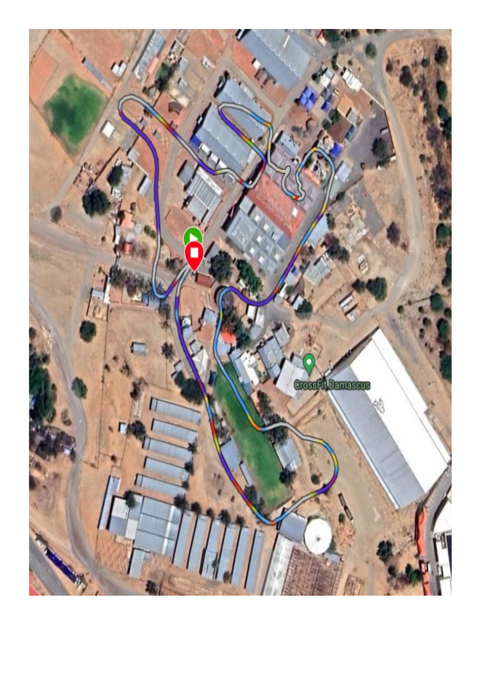